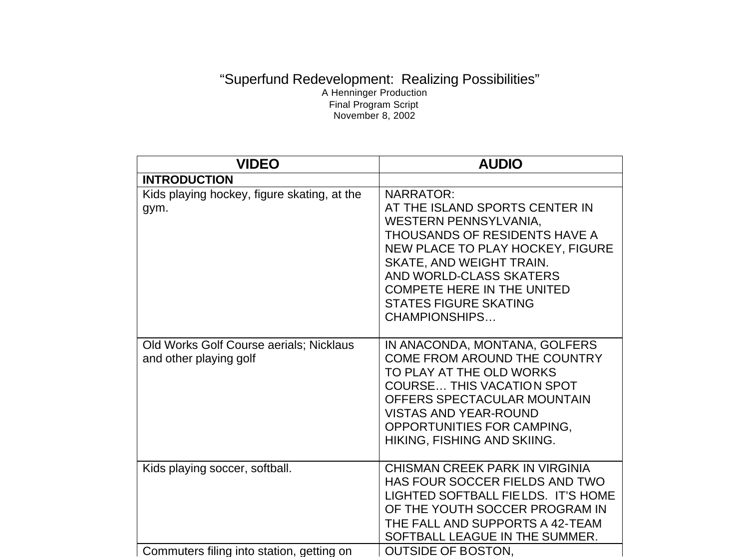## "Superfund Redevelopment: Realizing Possibilities" A Henninger Production Final Program Script November 8, 2002

| <b>VIDEO</b>                                                                | <b>AUDIO</b>                                                                                                                                                                                                                                                                                         |
|-----------------------------------------------------------------------------|------------------------------------------------------------------------------------------------------------------------------------------------------------------------------------------------------------------------------------------------------------------------------------------------------|
| <b>INTRODUCTION</b>                                                         |                                                                                                                                                                                                                                                                                                      |
| Kids playing hockey, figure skating, at the<br>gym.                         | <b>NARRATOR:</b><br>AT THE ISLAND SPORTS CENTER IN<br>WESTERN PENNSYLVANIA,<br>THOUSANDS OF RESIDENTS HAVE A<br>NEW PLACE TO PLAY HOCKEY, FIGURE<br><b>SKATE, AND WEIGHT TRAIN.</b><br>AND WORLD-CLASS SKATERS<br><b>COMPETE HERE IN THE UNITED</b><br><b>STATES FIGURE SKATING</b><br>CHAMPIONSHIPS |
| Old Works Golf Course aerials; Nicklaus<br>and other playing golf           | IN ANACONDA, MONTANA, GOLFERS<br>COME FROM AROUND THE COUNTRY<br>TO PLAY AT THE OLD WORKS<br><b>COURSE THIS VACATION SPOT</b><br>OFFERS SPECTACULAR MOUNTAIN<br><b>VISTAS AND YEAR-ROUND</b><br>OPPORTUNITIES FOR CAMPING,<br>HIKING, FISHING AND SKIING.                                            |
| Kids playing soccer, softball.<br>Commuters filing into station, getting on | CHISMAN CREEK PARK IN VIRGINIA<br>HAS FOUR SOCCER FIELDS AND TWO<br>LIGHTED SOFTBALL FIELDS. IT'S HOME<br>OF THE YOUTH SOCCER PROGRAM IN<br>THE FALL AND SUPPORTS A 42-TEAM<br>SOFTBALL LEAGUE IN THE SUMMER.<br><b>OUTSIDE OF BOSTON.</b>                                                           |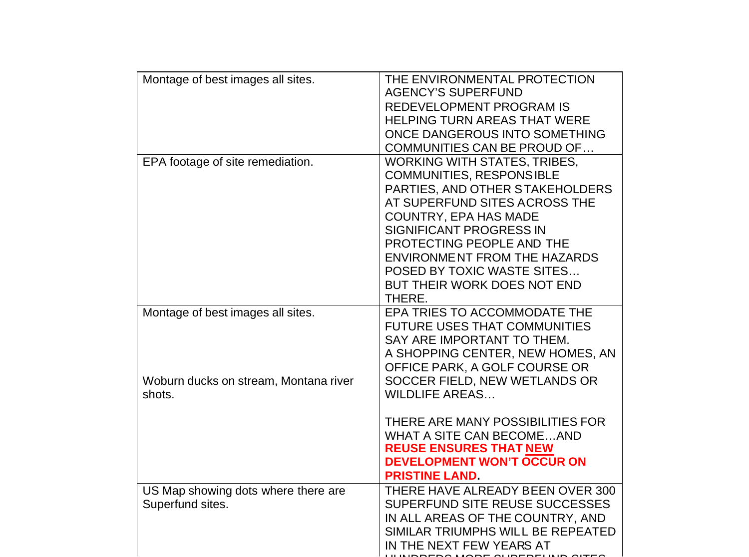| Montage of best images all sites.                                                    | THE ENVIRONMENTAL PROTECTION<br><b>AGENCY'S SUPERFUND</b><br><b>REDEVELOPMENT PROGRAM IS</b><br><b>HELPING TURN AREAS THAT WERE</b><br>ONCE DANGEROUS INTO SOMETHING<br>COMMUNITIES CAN BE PROUD OF                                                                                                                                                     |
|--------------------------------------------------------------------------------------|---------------------------------------------------------------------------------------------------------------------------------------------------------------------------------------------------------------------------------------------------------------------------------------------------------------------------------------------------------|
| EPA footage of site remediation.                                                     | <b>WORKING WITH STATES, TRIBES,</b><br><b>COMMUNITIES, RESPONSIBLE</b><br>PARTIES, AND OTHER STAKEHOLDERS<br>AT SUPERFUND SITES ACROSS THE<br><b>COUNTRY, EPA HAS MADE</b><br><b>SIGNIFICANT PROGRESS IN</b><br>PROTECTING PEOPLE AND THE<br><b>ENVIRONMENT FROM THE HAZARDS</b><br>POSED BY TOXIC WASTE SITES<br>BUT THEIR WORK DOES NOT END<br>THERE. |
| Montage of best images all sites.<br>Woburn ducks on stream, Montana river<br>shots. | EPA TRIES TO ACCOMMODATE THE<br><b>FUTURE USES THAT COMMUNITIES</b><br>SAY ARE IMPORTANT TO THEM.<br>A SHOPPING CENTER, NEW HOMES, AN<br>OFFICE PARK, A GOLF COURSE OR<br>SOCCER FIELD, NEW WETLANDS OR<br><b>WILDLIFE AREAS</b>                                                                                                                        |
|                                                                                      | THERE ARE MANY POSSIBILITIES FOR<br><b>WHAT A SITE CAN BECOMEAND</b><br><b>REUSE ENSURES THAT NEW</b><br><b>DEVELOPMENT WON'T OCCUR ON</b><br><b>PRISTINE LAND</b>                                                                                                                                                                                      |
| US Map showing dots where there are<br>Superfund sites.                              | THERE HAVE ALREADY BEEN OVER 300<br>SUPERFUND SITE REUSE SUCCESSES<br>IN ALL AREAS OF THE COUNTRY, AND<br>SIMILAR TRIUMPHS WILL BE REPEATED<br>IN THE NEXT FEW YEARS AT                                                                                                                                                                                 |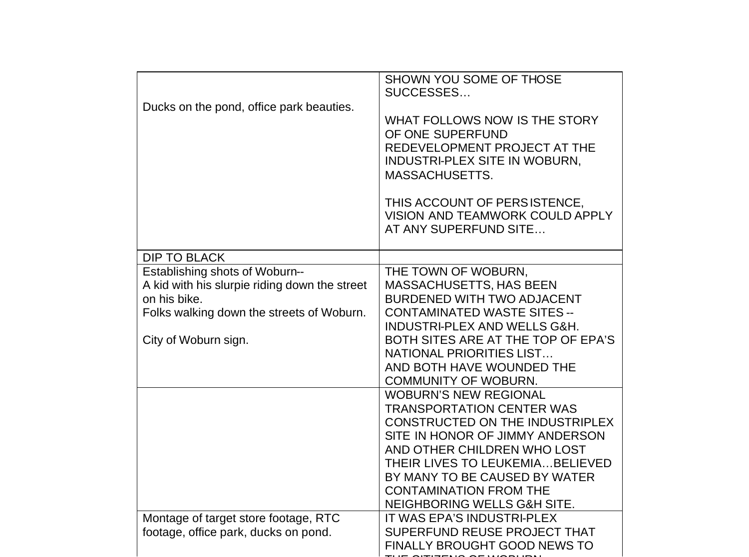| Ducks on the pond, office park beauties.                                                                                                                             | SHOWN YOU SOME OF THOSE<br>SUCCESSES<br>WHAT FOLLOWS NOW IS THE STORY<br>OF ONE SUPERFUND<br>REDEVELOPMENT PROJECT AT THE<br>INDUSTRI-PLEX SITE IN WOBURN,<br><b>MASSACHUSETTS.</b><br>THIS ACCOUNT OF PERSISTENCE,<br>VISION AND TEAMWORK COULD APPLY<br>AT ANY SUPERFUND SITE                            |
|----------------------------------------------------------------------------------------------------------------------------------------------------------------------|------------------------------------------------------------------------------------------------------------------------------------------------------------------------------------------------------------------------------------------------------------------------------------------------------------|
| <b>DIP TO BLACK</b>                                                                                                                                                  |                                                                                                                                                                                                                                                                                                            |
| Establishing shots of Woburn--<br>A kid with his slurpie riding down the street<br>on his bike.<br>Folks walking down the streets of Woburn.<br>City of Woburn sign. | THE TOWN OF WOBURN,<br><b>MASSACHUSETTS, HAS BEEN</b><br>BURDENED WITH TWO ADJACENT<br><b>CONTAMINATED WASTE SITES --</b><br>INDUSTRI-PLEX AND WELLS G&H.<br>BOTH SITES ARE AT THE TOP OF EPA'S<br>NATIONAL PRIORITIES LIST<br>AND BOTH HAVE WOUNDED THE<br><b>COMMUNITY OF WOBURN.</b>                    |
|                                                                                                                                                                      | <b>WOBURN'S NEW REGIONAL</b><br><b>TRANSPORTATION CENTER WAS</b><br>CONSTRUCTED ON THE INDUSTRIPLEX<br>SITE IN HONOR OF JIMMY ANDERSON<br>AND OTHER CHILDREN WHO LOST<br>THEIR LIVES TO LEUKEMIA BELIEVED<br>BY MANY TO BE CAUSED BY WATER<br><b>CONTAMINATION FROM THE</b><br>NEIGHBORING WELLS G&H SITE. |
| Montage of target store footage, RTC<br>footage, office park, ducks on pond.                                                                                         | IT WAS EPA'S INDUSTRI-PLEX<br>SUPERFUND REUSE PROJECT THAT<br><b>FINALLY BROUGHT GOOD NEWS TO</b>                                                                                                                                                                                                          |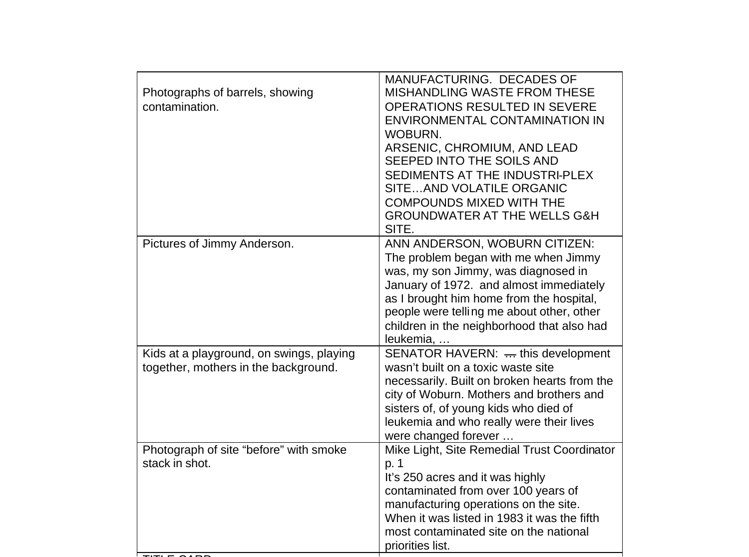| Photographs of barrels, showing<br>contamination.                                | MANUFACTURING. DECADES OF<br><b>MISHANDLING WASTE FROM THESE</b><br><b>OPERATIONS RESULTED IN SEVERE</b><br>ENVIRONMENTAL CONTAMINATION IN<br><b>WOBURN.</b><br>ARSENIC, CHROMIUM, AND LEAD<br>SEEPED INTO THE SOILS AND<br>SEDIMENTS AT THE INDUSTRI-PLEX<br>SITEAND VOLATILE ORGANIC<br><b>COMPOUNDS MIXED WITH THE</b><br><b>GROUNDWATER AT THE WELLS G&amp;H</b><br>SITE. |
|----------------------------------------------------------------------------------|-------------------------------------------------------------------------------------------------------------------------------------------------------------------------------------------------------------------------------------------------------------------------------------------------------------------------------------------------------------------------------|
| Pictures of Jimmy Anderson.                                                      | ANN ANDERSON, WOBURN CITIZEN:<br>The problem began with me when Jimmy<br>was, my son Jimmy, was diagnosed in<br>January of 1972. and almost immediately<br>as I brought him home from the hospital,<br>people were telling me about other, other<br>children in the neighborhood that also had<br>leukemia,                                                                   |
| Kids at a playground, on swings, playing<br>together, mothers in the background. | SENATOR HAVERN:  this development<br>wasn't built on a toxic waste site<br>necessarily. Built on broken hearts from the<br>city of Woburn. Mothers and brothers and<br>sisters of, of young kids who died of<br>leukemia and who really were their lives<br>were changed forever                                                                                              |
| Photograph of site "before" with smoke<br>stack in shot.                         | Mike Light, Site Remedial Trust Coordinator<br>p. 1<br>It's 250 acres and it was highly<br>contaminated from over 100 years of<br>manufacturing operations on the site.<br>When it was listed in 1983 it was the fifth<br>most contaminated site on the national<br>priorities list.                                                                                          |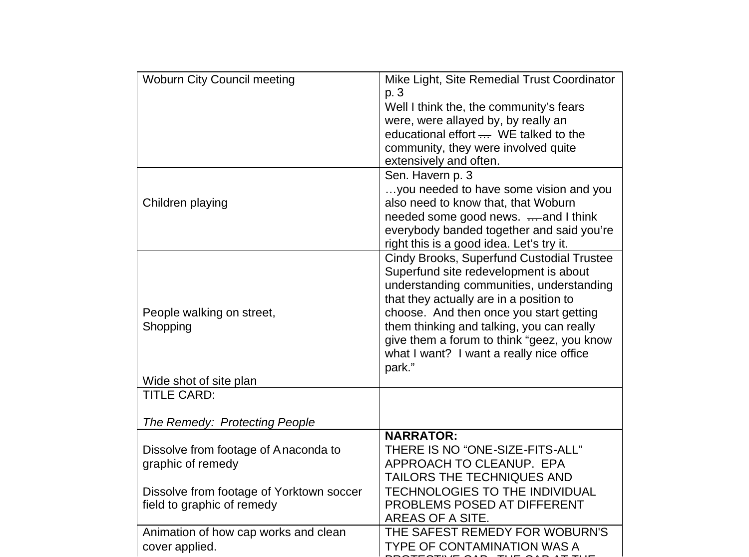| <b>Woburn City Council meeting</b>           | Mike Light, Site Remedial Trust Coordinator         |
|----------------------------------------------|-----------------------------------------------------|
|                                              | p. 3                                                |
|                                              | Well I think the, the community's fears             |
|                                              | were, were allayed by, by really an                 |
|                                              | educational effort $\frac{1}{1}$ . WE talked to the |
|                                              | community, they were involved quite                 |
|                                              | extensively and often.                              |
|                                              | Sen. Havern p. 3                                    |
|                                              | you needed to have some vision and you              |
| Children playing                             | also need to know that, that Woburn                 |
|                                              | needed some good news.  and I think                 |
|                                              | everybody banded together and said you're           |
|                                              | right this is a good idea. Let's try it.            |
|                                              | Cindy Brooks, Superfund Custodial Trustee           |
|                                              | Superfund site redevelopment is about               |
|                                              | understanding communities, understanding            |
|                                              | that they actually are in a position to             |
| People walking on street,                    | choose. And then once you start getting             |
| Shopping                                     | them thinking and talking, you can really           |
|                                              | give them a forum to think "geez, you know          |
|                                              | what I want? I want a really nice office            |
|                                              | park."                                              |
| Wide shot of site plan<br><b>TITLE CARD:</b> |                                                     |
|                                              |                                                     |
| The Remedy: Protecting People                |                                                     |
|                                              | <b>NARRATOR:</b>                                    |
| Dissolve from footage of Anaconda to         | THERE IS NO "ONE-SIZE-FITS-ALL"                     |
| graphic of remedy                            | APPROACH TO CLEANUP. EPA                            |
|                                              | <b>TAILORS THE TECHNIQUES AND</b>                   |
| Dissolve from footage of Yorktown soccer     | <b>TECHNOLOGIES TO THE INDIVIDUAL</b>               |
| field to graphic of remedy                   | PROBLEMS POSED AT DIFFERENT                         |
|                                              | AREAS OF A SITE.                                    |
| Animation of how cap works and clean         | THE SAFEST REMEDY FOR WOBURN'S                      |
| cover applied.                               | <b>TYPE OF CONTAMINATION WAS A</b>                  |
|                                              |                                                     |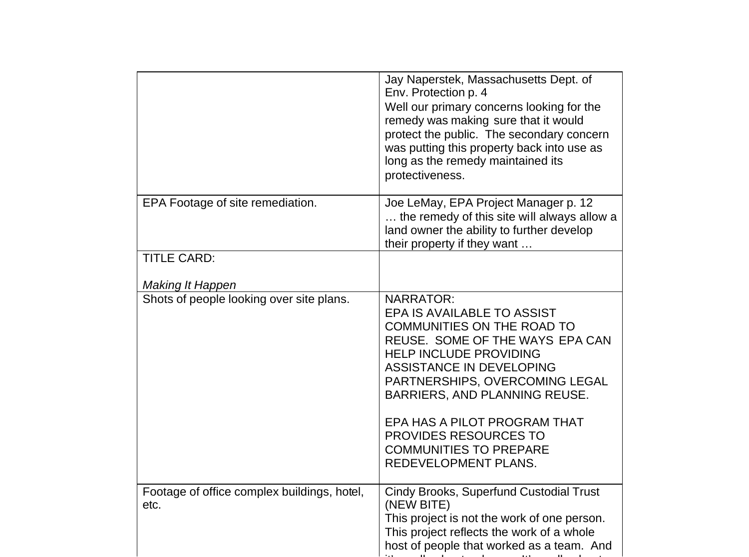|                                                     | Jay Naperstek, Massachusetts Dept. of<br>Env. Protection p. 4<br>Well our primary concerns looking for the<br>remedy was making sure that it would<br>protect the public. The secondary concern<br>was putting this property back into use as<br>long as the remedy maintained its<br>protectiveness.                                                                    |
|-----------------------------------------------------|--------------------------------------------------------------------------------------------------------------------------------------------------------------------------------------------------------------------------------------------------------------------------------------------------------------------------------------------------------------------------|
| EPA Footage of site remediation.                    | Joe LeMay, EPA Project Manager p. 12<br>the remedy of this site will always allow a<br>land owner the ability to further develop<br>their property if they want                                                                                                                                                                                                          |
| <b>TITLE CARD:</b>                                  |                                                                                                                                                                                                                                                                                                                                                                          |
| <b>Making It Happen</b>                             |                                                                                                                                                                                                                                                                                                                                                                          |
| Shots of people looking over site plans.            | <b>NARRATOR:</b><br>EPA IS AVAILABLE TO ASSIST<br><b>COMMUNITIES ON THE ROAD TO</b><br>REUSE. SOME OF THE WAYS EPA CAN<br><b>HELP INCLUDE PROVIDING</b><br>ASSISTANCE IN DEVELOPING<br>PARTNERSHIPS, OVERCOMING LEGAL<br>BARRIERS, AND PLANNING REUSE.<br>EPA HAS A PILOT PROGRAM THAT<br>PROVIDES RESOURCES TO<br><b>COMMUNITIES TO PREPARE</b><br>REDEVELOPMENT PLANS. |
| Footage of office complex buildings, hotel,<br>etc. | Cindy Brooks, Superfund Custodial Trust<br>(NEW BITE)<br>This project is not the work of one person.<br>This project reflects the work of a whole<br>host of people that worked as a team. And                                                                                                                                                                           |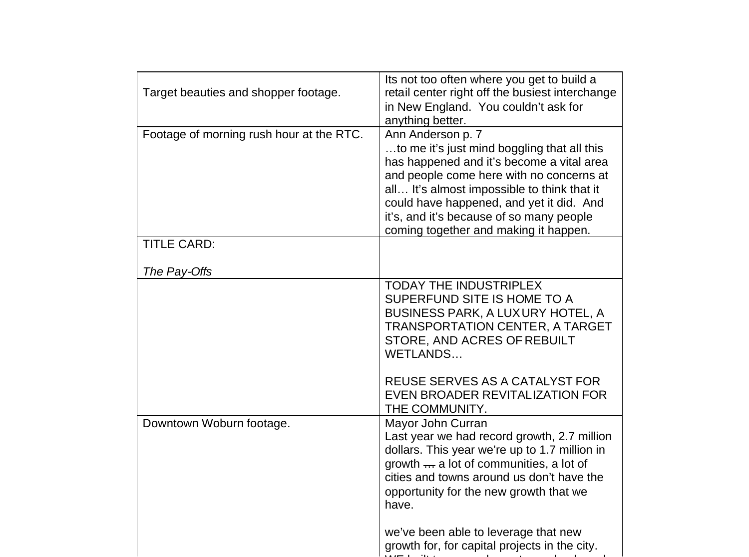| Target beauties and shopper footage.     | Its not too often where you get to build a<br>retail center right off the busiest interchange<br>in New England. You couldn't ask for<br>anything better.                                                                                                                                                                                 |
|------------------------------------------|-------------------------------------------------------------------------------------------------------------------------------------------------------------------------------------------------------------------------------------------------------------------------------------------------------------------------------------------|
| Footage of morning rush hour at the RTC. | Ann Anderson p. 7<br>to me it's just mind boggling that all this<br>has happened and it's become a vital area<br>and people come here with no concerns at<br>all It's almost impossible to think that it<br>could have happened, and yet it did. And<br>it's, and it's because of so many people<br>coming together and making it happen. |
| <b>TITLE CARD:</b><br>The Pay-Offs       |                                                                                                                                                                                                                                                                                                                                           |
|                                          | <b>TODAY THE INDUSTRIPLEX</b><br>SUPERFUND SITE IS HOME TO A<br>BUSINESS PARK, A LUXURY HOTEL, A<br><b>TRANSPORTATION CENTER, A TARGET</b><br>STORE, AND ACRES OF REBUILT<br>WETLANDS<br>REUSE SERVES AS A CATALYST FOR<br>EVEN BROADER REVITALIZATION FOR<br>THE COMMUNITY.                                                              |
| Downtown Woburn footage.                 | Mayor John Curran<br>Last year we had record growth, 2.7 million<br>dollars. This year we're up to 1.7 million in<br>growth  a lot of communities, a lot of<br>cities and towns around us don't have the<br>opportunity for the new growth that we<br>have.                                                                               |
|                                          | we've been able to leverage that new<br>growth for, for capital projects in the city.                                                                                                                                                                                                                                                     |